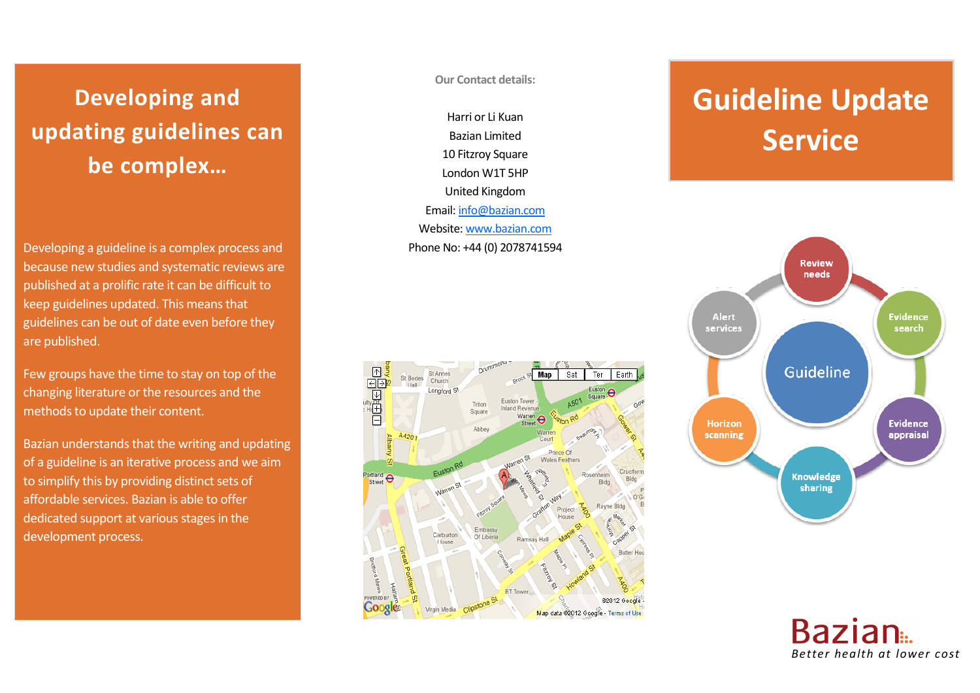## **Developing and updating guidelines can be complex…**

Developing a guideline is a complex process and because new studies and systematic reviews are published at a prolific rate it can be difficult to keep guidelines updated. This means that guidelines can be out of date even before they are published.

Few groups have the time to stay on top of the changing literature or the resources and the methods to update their content.

Bazian understands that the writing and updating of a guideline is an iterative process and we aim to simplify this by providing distinct sets of affordable services. Bazian is able to offer dedicated support at various stages in the development process.

**Our Contact details:**

Harri or Li Kuan Bazian Limited 10 Fitzroy Square London W1T 5HP United Kingdom Email[: info@bazian.com](mailto:info@bazian.com) Website: [www.bazian.com](http://www.bazian.com/) Phone No: +44 (0) 2078741594



# **Guideline Update Service**